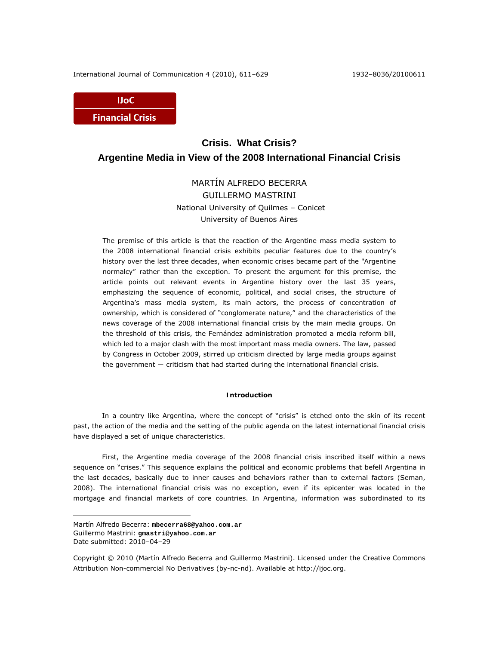International Journal of Communication 4 (2010), 611–629 1932–8036/20100611



# **Crisis. What Crisis? Argentine Media in View of the 2008 International Financial Crisis**

## MARTÍN ALFREDO BECERRA GUILLERMO MASTRINI National University of Quilmes – Conicet University of Buenos Aires

The premise of this article is that the reaction of the Argentine mass media system to the 2008 international financial crisis exhibits peculiar features due to the country's history over the last three decades, when economic crises became part of the "Argentine normalcy" rather than the exception. To present the argument for this premise, the article points out relevant events in Argentine history over the last 35 years, emphasizing the sequence of economic, political, and social crises, the structure of Argentina's mass media system, its main actors, the process of concentration of ownership, which is considered of "conglomerate nature," and the characteristics of the news coverage of the 2008 international financial crisis by the main media groups. On the threshold of this crisis, the Fernández administration promoted a media reform bill, which led to a major clash with the most important mass media owners. The law, passed by Congress in October 2009, stirred up criticism directed by large media groups against the government ― criticism that had started during the international financial crisis.

## **Introduction**

In a country like Argentina, where the concept of "crisis" is etched onto the skin of its recent past, the action of the media and the setting of the public agenda on the latest international financial crisis have displayed a set of unique characteristics.

First, the Argentine media coverage of the 2008 financial crisis inscribed itself within a news sequence on "crises." This sequence explains the political and economic problems that befell Argentina in the last decades, basically due to inner causes and behaviors rather than to external factors (Seman, 2008). The international financial crisis was no exception, even if its epicenter was located in the mortgage and financial markets of core countries. In Argentina, information was subordinated to its

 $\overline{a}$ 

Martín Alfredo Becerra: **mbecerra68@yahoo.com.ar** Guillermo Mastrini: **gmastri@yahoo.com.ar**  Date submitted: 2010–04–29

Copyright © 2010 (Martín Alfredo Becerra and Guillermo Mastrini). Licensed under the Creative Commons Attribution Non-commercial No Derivatives (by-nc-nd). Available at http://ijoc.org.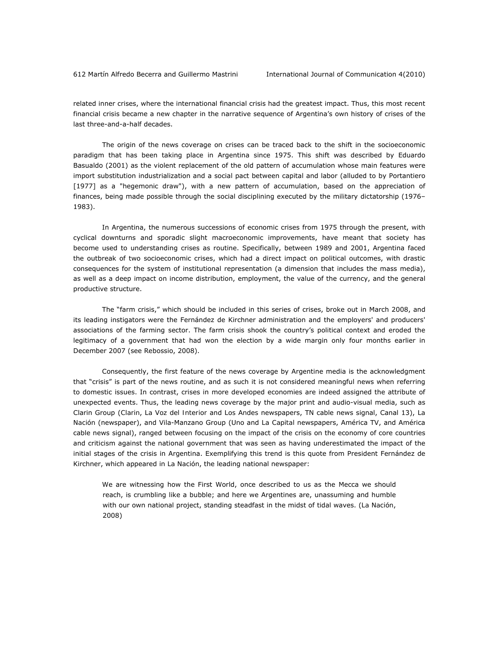related inner crises, where the international financial crisis had the greatest impact. Thus, this most recent financial crisis became a new chapter in the narrative sequence of Argentina's own history of crises of the last three-and-a-half decades.

The origin of the news coverage on crises can be traced back to the shift in the socioeconomic paradigm that has been taking place in Argentina since 1975. This shift was described by Eduardo Basualdo (2001) as the violent replacement of the old pattern of accumulation whose main features were import substitution industrialization and a social pact between capital and labor (alluded to by Portantiero [1977] as a "hegemonic draw"), with a new pattern of accumulation, based on the appreciation of finances, being made possible through the social disciplining executed by the military dictatorship (1976– 1983).

In Argentina, the numerous successions of economic crises from 1975 through the present, with cyclical downturns and sporadic slight macroeconomic improvements, have meant that society has become used to understanding crises as routine. Specifically, between 1989 and 2001, Argentina faced the outbreak of two socioeconomic crises, which had a direct impact on political outcomes, with drastic consequences for the system of institutional representation (a dimension that includes the mass media), as well as a deep impact on income distribution, employment, the value of the currency, and the general productive structure.

The "farm crisis," which should be included in this series of crises, broke out in March 2008, and its leading instigators were the Fernández de Kirchner administration and the employers' and producers' associations of the farming sector. The farm crisis shook the country's political context and eroded the legitimacy of a government that had won the election by a wide margin only four months earlier in December 2007 (see Rebossio, 2008).

Consequently, the first feature of the news coverage by Argentine media is the acknowledgment that "crisis" is part of the news routine, and as such it is not considered meaningful news when referring to domestic issues. In contrast, crises in more developed economies are indeed assigned the attribute of unexpected events. Thus, the leading news coverage by the major print and audio-visual media, such as Clarin Group (*Clarin*, *La Voz del Interior* and *Los Andes* newspapers, TN cable news signal, Canal 13), *La Nación* (newspaper), and Vila-Manzano Group (*Uno* and *La Capital* newspapers, América TV, and América cable news signal), ranged between focusing on the impact of the crisis on the economy of core countries and criticism against the national government that was seen as having underestimated the impact of the initial stages of the crisis in Argentina. Exemplifying this trend is this quote from President Fernández de Kirchner, which appeared in *La Nación*, the leading national newspaper:

We are witnessing how the First World, once described to us as the Mecca we should reach, is crumbling like a bubble; and here we Argentines are, unassuming and humble with our own national project, standing steadfast in the midst of tidal waves. (*La Nación*, 2008)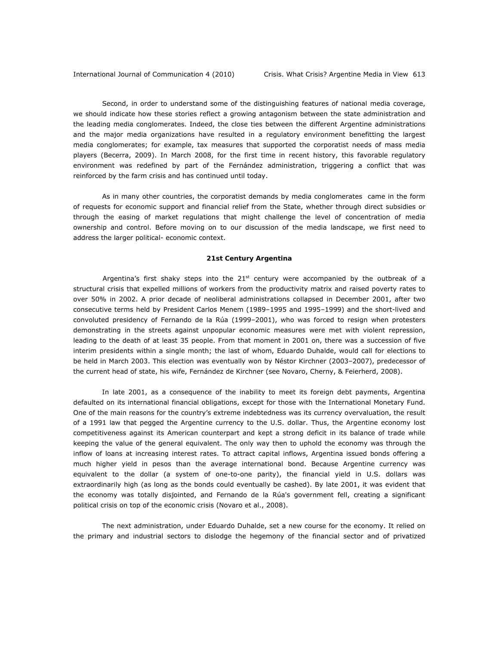Second, in order to understand some of the distinguishing features of national media coverage, we should indicate how these stories reflect a growing antagonism between the state administration and the leading media conglomerates. Indeed, the close ties between the different Argentine administrations and the major media organizations have resulted in a regulatory environment benefitting the largest media conglomerates; for example, tax measures that supported the corporatist needs of mass media players (Becerra, 2009). In March 2008, for the first time in recent history, this favorable regulatory environment was redefined by part of the Fernández administration, triggering a conflict that was reinforced by the farm crisis and has continued until today.

As in many other countries, the corporatist demands by media conglomerates came in the form of requests for economic support and financial relief from the State, whether through direct subsidies or through the easing of market regulations that might challenge the level of concentration of media ownership and control. Before moving on to our discussion of the media landscape, we first need to address the larger political- economic context.

#### **21st Century Argentina**

Argentina's first shaky steps into the  $21<sup>st</sup>$  century were accompanied by the outbreak of a structural crisis that expelled millions of workers from the productivity matrix and raised poverty rates to over 50% in 2002. A prior decade of neoliberal administrations collapsed in December 2001, after two consecutive terms held by President Carlos Menem (1989–1995 and 1995–1999) and the short-lived and convoluted presidency of Fernando de la Rúa (1999–2001), who was forced to resign when protesters demonstrating in the streets against unpopular economic measures were met with violent repression, leading to the death of at least 35 people. From that moment in 2001 on, there was a succession of five interim presidents within a single month; the last of whom, Eduardo Duhalde, would call for elections to be held in March 2003. This election was eventually won by Néstor Kirchner (2003–2007), predecessor of the current head of state, his wife, Fernández de Kirchner (see Novaro, Cherny, & Feierherd, 2008).

In late 2001, as a consequence of the inability to meet its foreign debt payments, Argentina defaulted on its international financial obligations, except for those with the International Monetary Fund. One of the main reasons for the country's extreme indebtedness was its currency overvaluation, the result of a 1991 law that pegged the Argentine currency to the U.S. dollar. Thus, the Argentine economy lost competitiveness against its American counterpart and kept a strong deficit in its balance of trade while keeping the value of the general equivalent. The only way then to uphold the economy was through the inflow of loans at increasing interest rates. To attract capital inflows, Argentina issued bonds offering a much higher yield in pesos than the average international bond. Because Argentine currency was equivalent to the dollar (a system of one-to-one parity), the financial yield in U.S. dollars was extraordinarily high (as long as the bonds could eventually be cashed). By late 2001, it was evident that the economy was totally disjointed, and Fernando de la Rúa's government fell, creating a significant political crisis on top of the economic crisis (Novaro et al., 2008).

The next administration, under Eduardo Duhalde, set a new course for the economy. It relied on the primary and industrial sectors to dislodge the hegemony of the financial sector and of privatized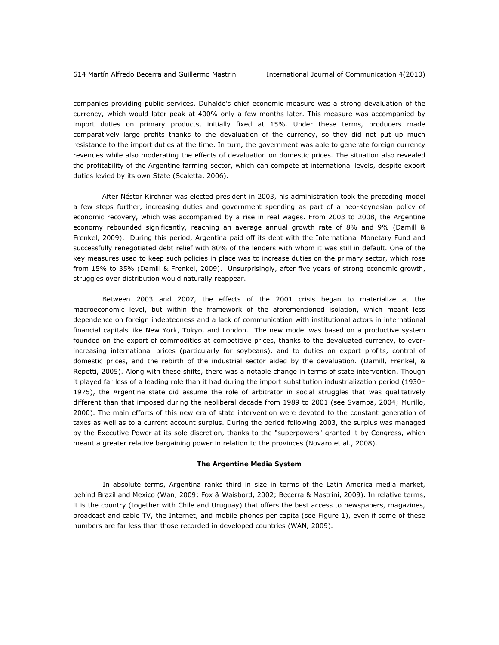companies providing public services. Duhalde's chief economic measure was a strong devaluation of the currency, which would later peak at 400% only a few months later. This measure was accompanied by import duties on primary products, initially fixed at 15%. Under these terms, producers made comparatively large profits thanks to the devaluation of the currency, so they did not put up much resistance to the import duties at the time. In turn, the government was able to generate foreign currency revenues while also moderating the effects of devaluation on domestic prices. The situation also revealed the profitability of the Argentine farming sector, which can compete at international levels, despite export duties levied by its own State (Scaletta, 2006).

After Néstor Kirchner was elected president in 2003, his administration took the preceding model a few steps further, increasing duties and government spending as part of a neo-Keynesian policy of economic recovery, which was accompanied by a rise in real wages. From 2003 to 2008, the Argentine economy rebounded significantly, reaching an average annual growth rate of 8% and 9% (Damill & Frenkel, 2009). During this period, Argentina paid off its debt with the International Monetary Fund and successfully renegotiated debt relief with 80% of the lenders with whom it was still in default. One of the key measures used to keep such policies in place was to increase duties on the primary sector, which rose from 15% to 35% (Damill & Frenkel, 2009). Unsurprisingly, after five years of strong economic growth, struggles over distribution would naturally reappear.

Between 2003 and 2007, the effects of the 2001 crisis began to materialize at the macroeconomic level, but within the framework of the aforementioned isolation, which meant less dependence on foreign indebtedness and a lack of communication with institutional actors in international financial capitals like New York, Tokyo, and London. The new model was based on a productive system founded on the export of commodities at competitive prices, thanks to the devaluated currency, to everincreasing international prices (particularly for soybeans), and to duties on export profits, control of domestic prices, and the rebirth of the industrial sector aided by the devaluation. (Damill, Frenkel, & Repetti, 2005). Along with these shifts, there was a notable change in terms of state intervention. Though it played far less of a leading role than it had during the import substitution industrialization period (1930– 1975), the Argentine state did assume the role of arbitrator in social struggles that was qualitatively different than that imposed during the neoliberal decade from 1989 to 2001 (see Svampa, 2004; Murillo, 2000). The main efforts of this new era of state intervention were devoted to the constant generation of taxes as well as to a current account surplus. During the period following 2003, the surplus was managed by the Executive Power at its sole discretion, thanks to the "superpowers" granted it by Congress, which meant a greater relative bargaining power in relation to the provinces (Novaro et al., 2008).

#### **The Argentine Media System**

 In absolute terms, Argentina ranks third in size in terms of the Latin America media market, behind Brazil and Mexico (Wan, 2009; Fox & Waisbord, 2002; Becerra & Mastrini, 2009). In relative terms, it is the country (together with Chile and Uruguay) that offers the best access to newspapers, magazines, broadcast and cable TV, the Internet, and mobile phones per capita (see Figure 1), even if some of these numbers are far less than those recorded in developed countries (WAN, 2009).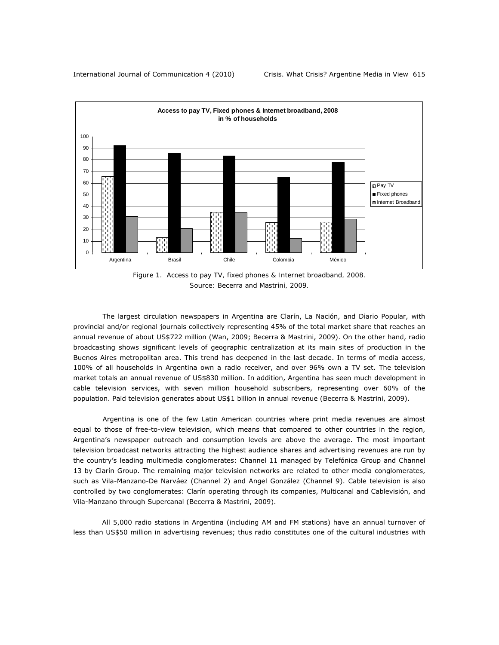

*Figure 1. Access to pay TV, fixed phones & Internet broadband, 2008. Source: Becerra and Mastrini, 2009.* 

 The largest circulation newspapers in Argentina are *Clarín*, *La Nación*, and *Diario Popular*, with provincial and/or regional journals collectively representing 45% of the total market share that reaches an annual revenue of about US\$722 million (Wan, 2009; Becerra & Mastrini, 2009). On the other hand, radio broadcasting shows significant levels of geographic centralization at its main sites of production in the Buenos Aires metropolitan area. This trend has deepened in the last decade. In terms of media access, 100% of all households in Argentina own a radio receiver, and over 96% own a TV set. The television market totals an annual revenue of US\$830 million. In addition, Argentina has seen much development in cable television services, with seven million household subscribers, representing over 60% of the population. Paid television generates about US\$1 billion in annual revenue (Becerra & Mastrini, 2009).

 Argentina is one of the few Latin American countries where print media revenues are almost equal to those of free-to-view television, which means that compared to other countries in the region, Argentina's newspaper outreach and consumption levels are above the average. The most important television broadcast networks attracting the highest audience shares and advertising revenues are run by the country's leading multimedia conglomerates: Channel 11 managed by Telefónica Group and Channel 13 by Clarín Group. The remaining major television networks are related to other media conglomerates, such as Vila-Manzano-De Narváez (Channel 2) and Angel González (Channel 9). Cable television is also controlled by two conglomerates: Clarín operating through its companies, Multicanal and Cablevisión, and Vila-Manzano through Supercanal (Becerra & Mastrini, 2009).

All 5,000 radio stations in Argentina (including AM and FM stations) have an annual turnover of less than US\$50 million in advertising revenues; thus radio constitutes one of the cultural industries with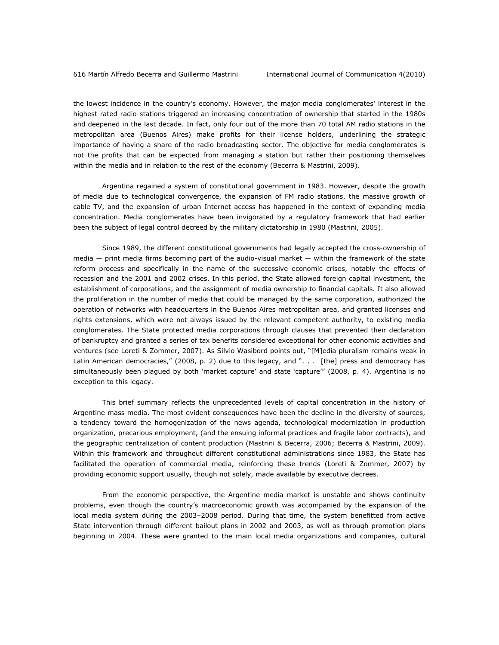the lowest incidence in the country's economy. However, the major media conglomerates' interest in the highest rated radio stations triggered an increasing concentration of ownership that started in the 1980s and deepened in the last decade. In fact, only four out of the more than 70 total AM radio stations in the metropolitan area (Buenos Aires) make profits for their license holders, underlining the strategic importance of having a share of the radio broadcasting sector. The objective for media conglomerates is not the profits that can be expected from managing a station but rather their positioning themselves within the media and in relation to the rest of the economy (Becerra & Mastrini, 2009).

Argentina regained a system of constitutional government in 1983. However, despite the growth of media due to technological convergence, the expansion of FM radio stations, the massive growth of cable TV, and the expansion of urban Internet access has happened in the context of expanding media concentration. Media conglomerates have been invigorated by a regulatory framework that had earlier been the subject of legal control decreed by the military dictatorship in 1980 (Mastrini, 2005).

Since 1989, the different constitutional governments had legally accepted the cross-ownership of media — print media firms becoming part of the audio-visual market — within the framework of the state reform process and specifically in the name of the successive economic crises, notably the effects of recession and the 2001 and 2002 crises. In this period, the State allowed foreign capital investment, the establishment of corporations, and the assignment of media ownership to financial capitals. It also allowed the proliferation in the number of media that could be managed by the same corporation, authorized the operation of networks with headquarters in the Buenos Aires metropolitan area, and granted licenses and rights extensions, which were not always issued by the relevant competent authority, to existing media conglomerates. The State protected media corporations through clauses that prevented their declaration of bankruptcy and granted a series of tax benefits considered exceptional for other economic activities and ventures (see Loreti & Zommer, 2007). As Silvio Wasibord points out, "[M]edia pluralism remains weak in Latin American democracies," (2008, p. 2) due to this legacy, and "... [the] press and democracy has simultaneously been plagued by both 'market capture' and state 'capture'" (2008, p. 4). Argentina is no exception to this legacy.

This brief summary reflects the unprecedented levels of capital concentration in the history of Argentine mass media. The most evident consequences have been the decline in the diversity of sources, a tendency toward the homogenization of the news agenda, technological modernization in production organization, precarious employment, (and the ensuing informal practices and fragile labor contracts), and the geographic centralization of content production (Mastrini & Becerra, 2006; Becerra & Mastrini, 2009). Within this framework and throughout different constitutional administrations since 1983, the State has facilitated the operation of commercial media, reinforcing these trends (Loreti & Zommer, 2007) by providing economic support usually, though not solely, made available by executive decrees.

From the economic perspective, the Argentine media market is unstable and shows continuity problems, even though the country's macroeconomic growth was accompanied by the expansion of the local media system during the 2003–2008 period. During that time, the system benefitted from active State intervention through different bailout plans in 2002 and 2003, as well as through promotion plans beginning in 2004. These were granted to the main local media organizations and companies, cultural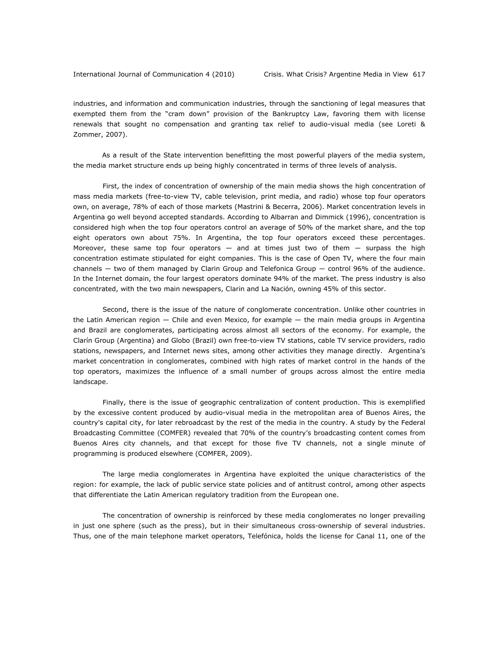industries, and information and communication industries, through the sanctioning of legal measures that exempted them from the "cram down" provision of the Bankruptcy Law, favoring them with license renewals that sought no compensation and granting tax relief to audio-visual media (see Loreti & Zommer, 2007).

As a result of the State intervention benefitting the most powerful players of the media system, the media market structure ends up being highly concentrated in terms of three levels of analysis.

First, the index of concentration of ownership of the main media shows the high concentration of mass media markets (free-to-view TV, cable television, print media, and radio) whose top four operators own, on average, 78% of each of those markets (Mastrini & Becerra, 2006). Market concentration levels in Argentina go well beyond accepted standards. According to Albarran and Dimmick (1996), concentration is considered high when the top four operators control an average of 50% of the market share, and the top eight operators own about 75%. In Argentina, the top four operators exceed these percentages. Moreover, these same top four operators  $-$  and at times just two of them  $-$  surpass the high concentration estimate stipulated for eight companies. This is the case of Open TV, where the four main channels ― two of them managed by Clarin Group and Telefonica Group ― control 96% of the audience. In the Internet domain, the four largest operators dominate 94% of the market. The press industry is also concentrated, with the two main newspapers, *Clarin* and *La Nación*, owning 45% of this sector.

Second, there is the issue of the nature of conglomerate concentration. Unlike other countries in the Latin American region  $-$  Chile and even Mexico, for example  $-$  the main media groups in Argentina and Brazil are conglomerates, participating across almost all sectors of the economy. For example, the Clarín Group (Argentina) and Globo (Brazil) own free-to-view TV stations, cable TV service providers, radio stations, newspapers, and Internet news sites, among other activities they manage directly. Argentina's market concentration in conglomerates, combined with high rates of market control in the hands of the top operators, maximizes the influence of a small number of groups across almost the entire media landscape.

Finally, there is the issue of geographic centralization of content production. This is exemplified by the excessive content produced by audio-visual media in the metropolitan area of Buenos Aires, the country's capital city, for later rebroadcast by the rest of the media in the country. A study by the Federal Broadcasting Committee (COMFER) revealed that 70% of the country's broadcasting content comes from Buenos Aires city channels, and that except for those five TV channels, not a single minute of programming is produced elsewhere (COMFER, 2009).

The large media conglomerates in Argentina have exploited the unique characteristics of the region: for example, the lack of public service state policies and of antitrust control, among other aspects that differentiate the Latin American regulatory tradition from the European one.

The concentration of ownership is reinforced by these media conglomerates no longer prevailing in just one sphere (such as the press), but in their simultaneous cross-ownership of several industries. Thus, one of the main telephone market operators, Telefónica, holds the license for Canal 11, one of the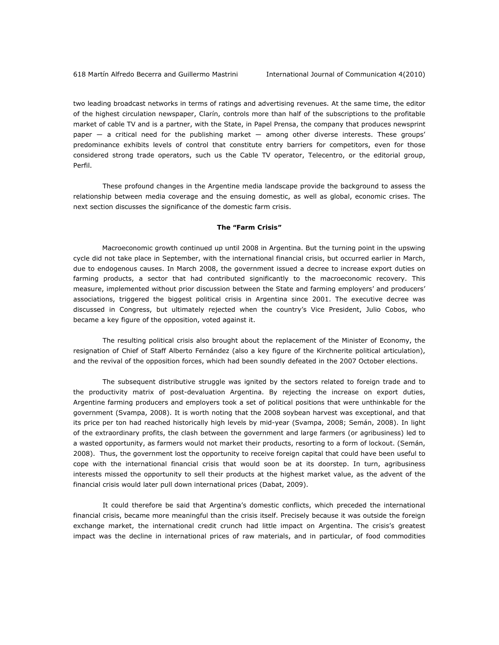two leading broadcast networks in terms of ratings and advertising revenues. At the same time, the editor of the highest circulation newspaper, *Clarín*, controls more than half of the subscriptions to the profitable market of cable TV and is a partner, with the State, in Papel Prensa, the company that produces newsprint paper — a critical need for the publishing market — among other diverse interests. These groups' predominance exhibits levels of control that constitute entry barriers for competitors, even for those considered strong trade operators, such us the Cable TV operator, Telecentro, or the editorial group, Perfil.

These profound changes in the Argentine media landscape provide the background to assess the relationship between media coverage and the ensuing domestic, as well as global, economic crises. The next section discusses the significance of the domestic farm crisis.

#### **The "Farm Crisis"**

Macroeconomic growth continued up until 2008 in Argentina. But the turning point in the upswing cycle did not take place in September, with the international financial crisis, but occurred earlier in March, due to endogenous causes. In March 2008, the government issued a decree to increase export duties on farming products, a sector that had contributed significantly to the macroeconomic recovery. This measure, implemented without prior discussion between the State and farming employers' and producers' associations, triggered the biggest political crisis in Argentina since 2001. The executive decree was discussed in Congress, but ultimately rejected when the country's Vice President, Julio Cobos, who became a key figure of the opposition, voted against it.

 The resulting political crisis also brought about the replacement of the Minister of Economy, the resignation of Chief of Staff Alberto Fernández (also a key figure of the Kirchnerite political articulation), and the revival of the opposition forces, which had been soundly defeated in the 2007 October elections.

 The subsequent distributive struggle was ignited by the sectors related to foreign trade and to the productivity matrix of post-devaluation Argentina. By rejecting the increase on export duties, Argentine farming producers and employers took a set of political positions that were unthinkable for the government (Svampa, 2008). It is worth noting that the 2008 soybean harvest was exceptional, and that its price per ton had reached historically high levels by mid-year (Svampa, 2008; Semán, 2008). In light of the extraordinary profits, the clash between the government and large farmers (or agribusiness) led to a wasted opportunity, as farmers would not market their products, resorting to a form of lockout. (Semán, 2008). Thus, the government lost the opportunity to receive foreign capital that could have been useful to cope with the international financial crisis that would soon be at its doorstep. In turn, agribusiness interests missed the opportunity to sell their products at the highest market value, as the advent of the financial crisis would later pull down international prices (Dabat, 2009).

 It could therefore be said that Argentina's domestic conflicts, which preceded the international financial crisis, became more meaningful than the crisis itself. Precisely because it was outside the foreign exchange market, the international credit crunch had little impact on Argentina. The crisis's greatest impact was the decline in international prices of raw materials, and in particular, of food commodities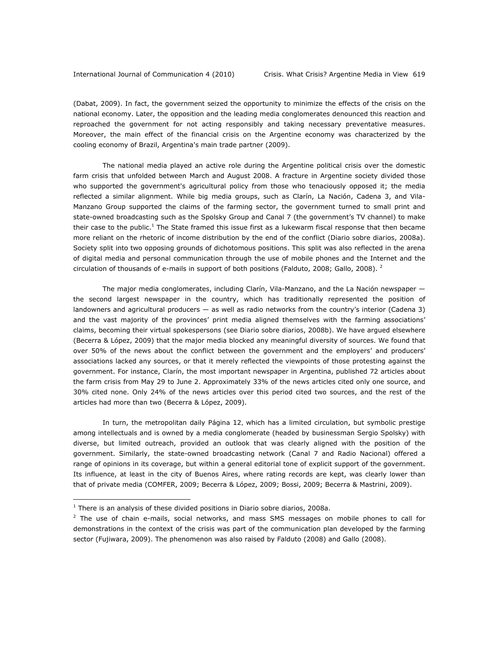(Dabat, 2009). In fact, the government seized the opportunity to minimize the effects of the crisis on the national economy. Later, the opposition and the leading media conglomerates denounced this reaction and reproached the government for not acting responsibly and taking necessary preventative measures. Moreover, the main effect of the financial crisis on the Argentine economy was characterized by the cooling economy of Brazil, Argentina's main trade partner (2009).

 The national media played an active role during the Argentine political crisis over the domestic farm crisis that unfolded between March and August 2008. A fracture in Argentine society divided those who supported the government's agricultural policy from those who tenaciously opposed it; the media reflected a similar alignment. While big media groups, such as Clarín, La Nación, Cadena 3, and Vila-Manzano Group supported the claims of the farming sector, the government turned to small print and state-owned broadcasting such as the Spolsky Group and Canal 7 (the government's TV channel) to make their case to the public.<sup>1</sup> The State framed this issue first as a lukewarm fiscal response that then became more reliant on the rhetoric of income distribution by the end of the conflict (*Diario sobre diarios*, 2008a). Society split into two opposing grounds of dichotomous positions. This split was also reflected in the arena of digital media and personal communication through the use of mobile phones and the Internet and the circulation of thousands of e-mails in support of both positions (Falduto, 2008; Gallo, 2008). <sup>2</sup>

 The major media conglomerates, including Clarín, Vila-Manzano, and the *La Nación* newspaper the second largest newspaper in the country, which has traditionally represented the position of landowners and agricultural producers — as well as radio networks from the country's interior (Cadena 3) and the vast majority of the provinces' print media aligned themselves with the farming associations' claims, becoming their virtual spokespersons (see *Diario sobre diarios*, 2008b). We have argued elsewhere (Becerra & López, 2009) that the major media blocked any meaningful diversity of sources. We found that over 50% of the news about the conflict between the government and the employers' and producers' associations lacked any sources, or that it merely reflected the viewpoints of those protesting against the government. For instance, *Clarín*, the most important newspaper in Argentina, published 72 articles about the farm crisis from May 29 to June 2. Approximately 33% of the news articles cited only one source, and 30% cited none. Only 24% of the news articles over this period cited two sources, and the rest of the articles had more than two (Becerra & López, 2009).

In turn, the metropolitan daily *Página 12'* which has a limited circulation, but symbolic prestige among intellectuals and is owned by a media conglomerate (headed by businessman Sergio Spolsky) with diverse, but limited outreach, provided an outlook that was clearly aligned with the position of the government. Similarly, the state-owned broadcasting network (Canal 7 and Radio Nacional) offered a range of opinions in its coverage, but within a general editorial tone of explicit support of the government. Its influence, at least in the city of Buenos Aires, where rating records are kept, was clearly lower than that of private media (COMFER, 2009; Becerra & López, 2009; Bossi, 2009; Becerra & Mastrini, 2009).

 $\overline{a}$ 

<sup>1</sup> There is an analysis of these divided positions in *Diario sobre diarios*, 2008a.

 $2$  The use of chain e-mails, social networks, and mass SMS messages on mobile phones to call for demonstrations in the context of the crisis was part of the communication plan developed by the farming sector (Fujiwara, 2009). The phenomenon was also raised by Falduto (2008) and Gallo (2008).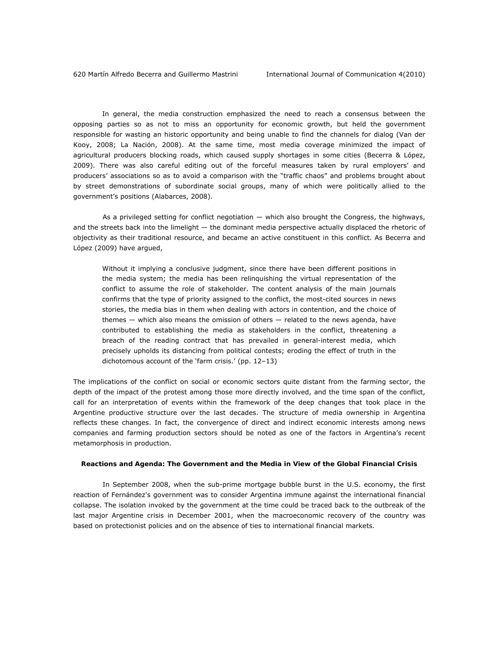In general, the media construction emphasized the need to reach a consensus between the opposing parties so as not to miss an opportunity for economic growth, but held the government responsible for wasting an historic opportunity and being unable to find the channels for dialog (Van der Kooy, 2008; *La Nación*, 2008). At the same time, most media coverage minimized the impact of agricultural producers blocking roads, which caused supply shortages in some cities (Becerra & López, 2009). There was also careful editing out of the forceful measures taken by rural employers' and producers' associations so as to avoid a comparison with the "traffic chaos" and problems brought about by street demonstrations of subordinate social groups, many of which were politically allied to the government's positions (Alabarces, 2008).

 As a privileged setting for conflict negotiation — which also brought the Congress, the highways, and the streets back into the limelight — the dominant media perspective actually displaced the rhetoric of objectivity as their traditional resource, and became an active constituent in this conflict. As Becerra and López (2009) have argued,

Without it implying a conclusive judgment, since there have been different positions in the media system; the media has been relinquishing the virtual representation of the conflict to assume the role of stakeholder. The content analysis of the main journals confirms that the type of priority assigned to the conflict, the most-cited sources in news stories, the media bias in them when dealing with actors in contention, and the choice of themes — which also means the omission of others — related to the news agenda, have contributed to establishing the media as stakeholders in the conflict, threatening a breach of the reading contract that has prevailed in general-interest media, which precisely upholds its distancing from political contests; eroding the effect of truth in the dichotomous account of the 'farm crisis.' (pp. 12–13)

The implications of the conflict on social or economic sectors quite distant from the farming sector, the depth of the impact of the protest among those more directly involved, and the time span of the conflict, call for an interpretation of events within the framework of the deep changes that took place in the Argentine productive structure over the last decades. The structure of media ownership in Argentina reflects these changes. In fact, the convergence of direct and indirect economic interests among news companies and farming production sectors should be noted as one of the factors in Argentina's recent metamorphosis in production.

#### **Reactions and Agenda: The Government and the Media in View of the Global Financial Crisis**

 In September 2008, when the sub-prime mortgage bubble burst in the U.S. economy, the first reaction of Fernández's government was to consider Argentina immune against the international financial collapse. The isolation invoked by the government at the time could be traced back to the outbreak of the last major Argentine crisis in December 2001, when the macroeconomic recovery of the country was based on protectionist policies and on the absence of ties to international financial markets.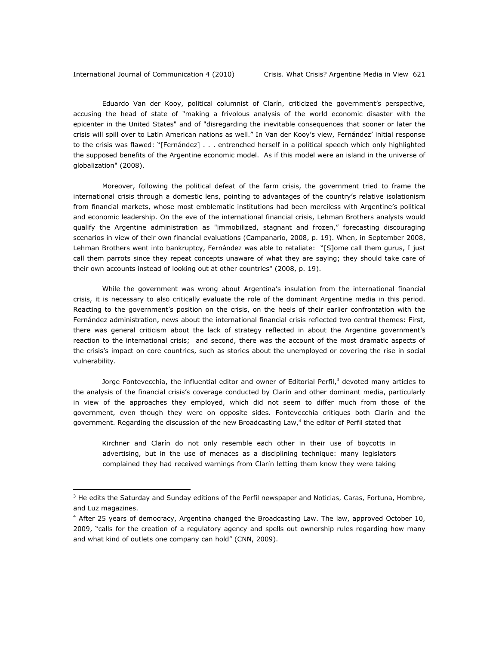$\overline{a}$ 

Eduardo Van der Kooy, political columnist of *Clarín*, criticized the government's perspective, accusing the head of state of "making a frivolous analysis of the world economic disaster with the epicenter in the United States" and of "disregarding the inevitable consequences that sooner or later the crisis will spill over to Latin American nations as well." In Van der Kooy's view, Fernández' initial response to the crisis was flawed: "[Fernández] . . . entrenched herself in a political speech which only highlighted the supposed benefits of the Argentine economic model. As if this model were an island in the universe of globalization" (2008).

Moreover, following the political defeat of the farm crisis, the government tried to frame the international crisis through a domestic lens, pointing to advantages of the country's relative isolationism from financial markets, whose most emblematic institutions had been merciless with Argentine's political and economic leadership. On the eve of the international financial crisis, Lehman Brothers analysts would qualify the Argentine administration as "immobilized, stagnant and frozen," forecasting discouraging scenarios in view of their own financial evaluations (Campanario, 2008, p. 19). When, in September 2008, Lehman Brothers went into bankruptcy, Fernández was able to retaliate: "[S]ome call them gurus, I just call them parrots since they repeat concepts unaware of what they are saying; they should take care of their own accounts instead of looking out at other countries" (2008, p. 19).

While the government was wrong about Argentina's insulation from the international financial crisis, it is necessary to also critically evaluate the role of the dominant Argentine media in this period. Reacting to the government's position on the crisis, on the heels of their earlier confrontation with the Fernández administration, news about the international financial crisis reflected two central themes: First, there was general criticism about the lack of strategy reflected in about the Argentine government's reaction to the international crisis; and second, there was the account of the most dramatic aspects of the crisis's impact on core countries, such as stories about the unemployed or covering the rise in social vulnerability.

Jorge Fontevecchia, the influential editor and owner of Editorial Perfil,<sup>3</sup> devoted many articles to the analysis of the financial crisis's coverage conducted by *Clarín* and other dominant media, particularly in view of the approaches they employed, which did not seem to differ much from those of the government, even though they were on opposite sides. Fontevecchia critiques both Clarin and the government. Regarding the discussion of the new Broadcasting Law,<sup>4</sup> the editor of *Perfil* stated that

Kirchner and Clarín do not only resemble each other in their use of boycotts in advertising, but in the use of menaces as a disciplining technique: many legislators complained they had received warnings from *Clarín* letting them know they were taking

<sup>3</sup> He edits the Saturday and Sunday editions of the *Perfil* newspaper and *Noticias, Caras, Fortuna*, *Hombre*, and *Luz* magazines.

<sup>&</sup>lt;sup>4</sup> After 25 years of democracy, Argentina changed the Broadcasting Law. The law, approved October 10, 2009, "calls for the creation of a regulatory agency and spells out ownership rules regarding how many and what kind of outlets one company can hold" (CNN, 2009).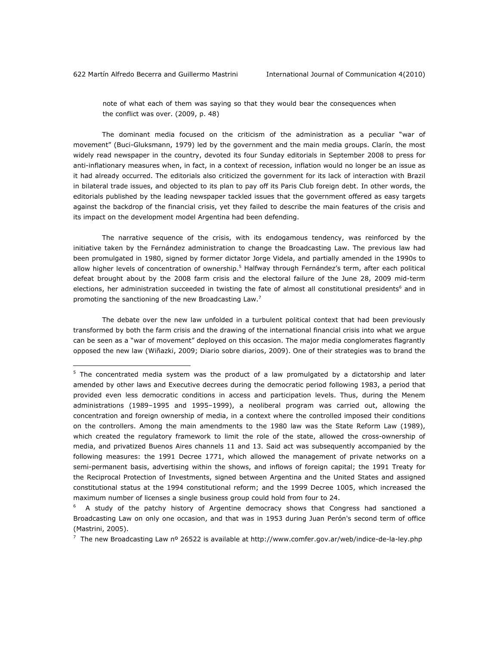$\overline{a}$ 

note of what each of them was saying so that they would bear the consequences when the conflict was over. (2009, p. 48)

The dominant media focused on the criticism of the administration as a peculiar "war of movement" (Buci-Gluksmann, 1979) led by the government and the main media groups. *Clarín,* the most widely read newspaper in the country, devoted its four Sunday editorials in September 2008 to press for anti-inflationary measures when, in fact, in a context of recession, inflation would no longer be an issue as it had already occurred. The editorials also criticized the government for its lack of interaction with Brazil in bilateral trade issues, and objected to its plan to pay off its Paris Club foreign debt. In other words, the editorials published by the leading newspaper tackled issues that the government offered as easy targets against the backdrop of the financial crisis, yet they failed to describe the main features of the crisis and its impact on the development model Argentina had been defending.

The narrative sequence of the crisis, with its endogamous tendency, was reinforced by the initiative taken by the Fernández administration to change the Broadcasting Law. The previous law had been promulgated in 1980, signed by former dictator Jorge Videla, and partially amended in the 1990s to allow higher levels of concentration of ownership.<sup>5</sup> Halfway through Fernández's term, after each political defeat brought about by the 2008 farm crisis and the electoral failure of the June 28, 2009 mid-term elections, her administration succeeded in twisting the fate of almost all constitutional presidents<sup>6</sup> and in promoting the sanctioning of the new Broadcasting Law.<sup>7</sup>

The debate over the new law unfolded in a turbulent political context that had been previously transformed by both the farm crisis and the drawing of the international financial crisis into what we argue can be seen as a "war of movement" deployed on this occasion. The major media conglomerates flagrantly opposed the new law (Wiñazki, 2009; *Diario sobre diarios*, 2009). One of their strategies was to brand the

<sup>&</sup>lt;sup>5</sup> The concentrated media system was the product of a law promulgated by a dictatorship and later amended by other laws and Executive decrees during the democratic period following 1983, a period that provided even less democratic conditions in access and participation levels. Thus, during the Menem administrations (1989–1995 and 1995–1999), a neoliberal program was carried out, allowing the concentration and foreign ownership of media, in a context where the controlled imposed their conditions on the controllers. Among the main amendments to the 1980 law was the State Reform Law (1989), which created the regulatory framework to limit the role of the state, allowed the cross-ownership of media, and privatized Buenos Aires channels 11 and 13. Said act was subsequently accompanied by the following measures: the 1991 Decree 1771, which allowed the management of private networks on a semi-permanent basis, advertising within the shows, and inflows of foreign capital; the 1991 Treaty for the Reciprocal Protection of Investments, signed between Argentina and the United States and assigned constitutional status at the 1994 constitutional reform; and the 1999 Decree 1005, which increased the maximum number of licenses a single business group could hold from four to 24.

<sup>6</sup> A study of the patchy history of Argentine democracy shows that Congress had sanctioned a Broadcasting Law on only one occasion, and that was in 1953 during Juan Perón's second term of office (Mastrini, 2005).

The new Broadcasting Law nº 26522 is available at http://www.comfer.gov.ar/web/indice-de-la-ley.php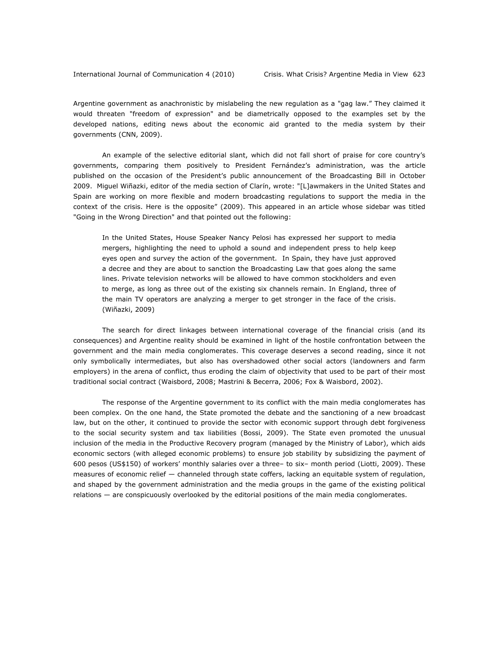Argentine government as anachronistic by mislabeling the new regulation as a "gag law." They claimed it would threaten "freedom of expression" and be diametrically opposed to the examples set by the developed nations, editing news about the economic aid granted to the media system by their governments (CNN, 2009).

An example of the selective editorial slant, which did not fall short of praise for core country's governments, comparing them positively to President Fernández's administration, was the article published on the occasion of the President's public announcement of the Broadcasting Bill in October 2009. Miguel Wiñazki, editor of the media section of *Clarín*, wrote: "[L]awmakers in the United States and Spain are working on more flexible and modern broadcasting regulations to support the media in the context of the crisis. Here is the opposite" (2009). This appeared in an article whose sidebar was titled "Going in the Wrong Direction" and that pointed out the following:

In the United States, House Speaker Nancy Pelosi has expressed her support to media mergers, highlighting the need to uphold a sound and independent press to help keep eyes open and survey the action of the government. In Spain, they have just approved a decree and they are about to sanction the Broadcasting Law that goes along the same lines. Private television networks will be allowed to have common stockholders and even to merge, as long as three out of the existing six channels remain. In England, three of the main TV operators are analyzing a merger to get stronger in the face of the crisis. (Wiñazki, 2009)

The search for direct linkages between international coverage of the financial crisis (and its consequences) and Argentine reality should be examined in light of the hostile confrontation between the government and the main media conglomerates. This coverage deserves a second reading, since it not only symbolically intermediates, but also has overshadowed other social actors (landowners and farm employers) in the arena of conflict, thus eroding the claim of objectivity that used to be part of their most traditional social contract (Waisbord, 2008; Mastrini & Becerra, 2006; Fox & Waisbord, 2002).

The response of the Argentine government to its conflict with the main media conglomerates has been complex. On the one hand, the State promoted the debate and the sanctioning of a new broadcast law, but on the other, it continued to provide the sector with economic support through debt forgiveness to the social security system and tax liabilities (Bossi, 2009). The State even promoted the unusual inclusion of the media in the Productive Recovery program (managed by the Ministry of Labor), which aids economic sectors (with alleged economic problems) to ensure job stability by subsidizing the payment of 600 pesos (US\$150) of workers' monthly salaries over a three– to six– month period (Liotti, 2009). These measures of economic relief — channeled through state coffers, lacking an equitable system of regulation, and shaped by the government administration and the media groups in the game of the existing political relations — are conspicuously overlooked by the editorial positions of the main media conglomerates.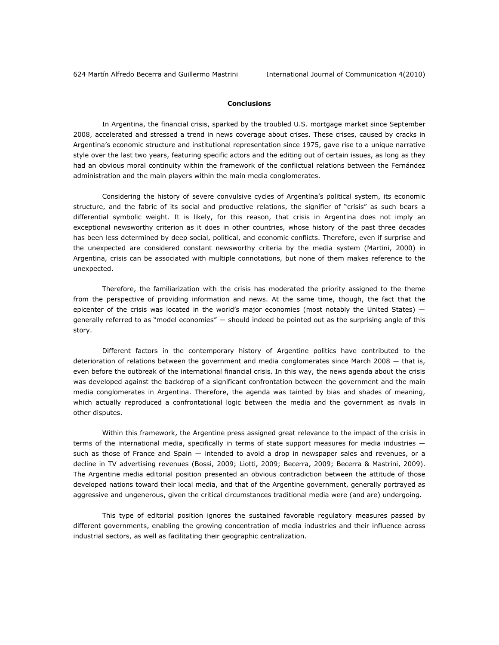## **Conclusions**

In Argentina, the financial crisis, sparked by the troubled U.S. mortgage market since September 2008, accelerated and stressed a trend in news coverage about crises. These crises, caused by cracks in Argentina's economic structure and institutional representation since 1975, gave rise to a unique narrative style over the last two years, featuring specific actors and the editing out of certain issues, as long as they had an obvious moral continuity within the framework of the conflictual relations between the Fernández administration and the main players within the main media conglomerates.

Considering the history of severe convulsive cycles of Argentina's political system, its economic structure, and the fabric of its social and productive relations, the signifier of "crisis" as such bears a differential symbolic weight. It is likely, for this reason, that crisis in Argentina does not imply an exceptional newsworthy criterion as it does in other countries, whose history of the past three decades has been less determined by deep social, political, and economic conflicts. Therefore, even if surprise and the unexpected are considered constant newsworthy criteria by the media system (Martini, 2000) in Argentina, crisis can be associated with multiple connotations, but none of them makes reference to the unexpected.

Therefore, the familiarization with the crisis has moderated the priority assigned to the theme from the perspective of providing information and news. At the same time, though, the fact that the epicenter of the crisis was located in the world's major economies (most notably the United States) ― generally referred to as "model economies" ― should indeed be pointed out as the surprising angle of this story.

Different factors in the contemporary history of Argentine politics have contributed to the deterioration of relations between the government and media conglomerates since March 2008 ― that is, even before the outbreak of the international financial crisis. In this way, the news agenda about the crisis was developed against the backdrop of a significant confrontation between the government and the main media conglomerates in Argentina. Therefore, the agenda was tainted by bias and shades of meaning, which actually reproduced a confrontational logic between the media and the government as rivals in other disputes.

Within this framework, the Argentine press assigned great relevance to the impact of the crisis in terms of the international media, specifically in terms of state support measures for media industries such as those of France and Spain — intended to avoid a drop in newspaper sales and revenues, or a decline in TV advertising revenues (Bossi, 2009; Liotti, 2009; Becerra, 2009; Becerra & Mastrini, 2009). The Argentine media editorial position presented an obvious contradiction between the attitude of those developed nations toward their local media, and that of the Argentine government, generally portrayed as aggressive and ungenerous, given the critical circumstances traditional media were (and are) undergoing.

This type of editorial position ignores the sustained favorable regulatory measures passed by different governments, enabling the growing concentration of media industries and their influence across industrial sectors, as well as facilitating their geographic centralization.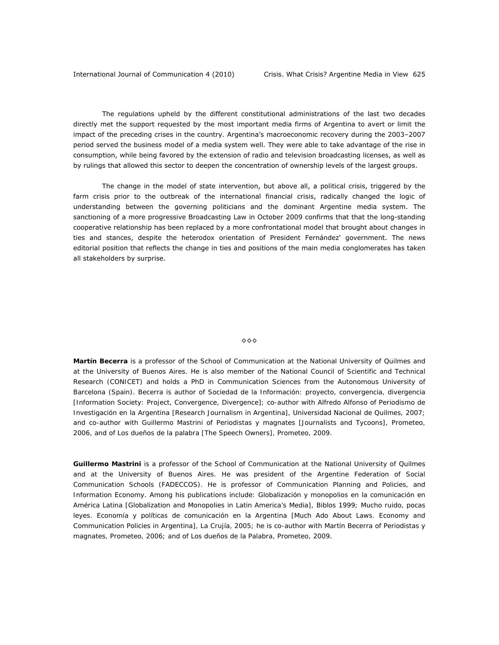The regulations upheld by the different constitutional administrations of the last two decades directly met the support requested by the most important media firms of Argentina to avert or limit the impact of the preceding crises in the country. Argentina's macroeconomic recovery during the 2003–2007 period served the business model of a media system well. They were able to take advantage of the rise in consumption, while being favored by the extension of radio and television broadcasting licenses, as well as by rulings that allowed this sector to deepen the concentration of ownership levels of the largest groups.

The change in the model of state intervention, but above all, a political crisis, triggered by the farm crisis prior to the outbreak of the international financial crisis, radically changed the logic of understanding between the governing politicians and the dominant Argentine media system. The sanctioning of a more progressive Broadcasting Law in October 2009 confirms that that the long-standing cooperative relationship has been replaced by a more confrontational model that brought about changes in ties and stances, despite the heterodox orientation of President Fernández' government. The news editorial position that reflects the change in ties and positions of the main media conglomerates has taken all stakeholders by surprise.

#### ◊◊◊

*Martín Becerra is a professor of the School of Communication at the National University of Quilmes and at the University of Buenos Aires. He is also member of the National Council of Scientific and Technical Research (CONICET) and holds a PhD in Communication Sciences from the Autonomous University of Barcelona (Spain). Becerra is author of Sociedad de la Información: proyecto, convergencia, divergencia [Information Society: Project, Convergence, Divergence]; co-author with Alfredo Alfonso of Periodismo de Investigación en la Argentina [Research Journalism in Argentina], Universidad Nacional de Quilmes, 2007; and co-author with Guillermo Mastrini of Periodistas y magnates [Journalists and Tycoons], Prometeo, 2006, and of Los dueños de la palabra [The Speech Owners], Prometeo, 2009.* 

*Guillermo Mastrini is a professor of the School of Communication at the National University of Quilmes*  and at the University of Buenos Aires. He was president of the Argentine Federation of Social *Communication Schools (FADECCOS). He is professor of Communication Planning and Policies, and Information Economy. Among his publications include: Globalización y monopolios en la comunicación en América Latina [Globalization and Monopolies in Latin America's Media], Biblos 1999; Mucho ruido, pocas*  leyes. Economía y políticas de comunicación en la Argentina [Much Ado About Laws. Economy and *Communication Policies in Argentina], La Crujía, 2005; he is co-author with Martín Becerra of Periodistas y magnates, Prometeo, 2006; and of Los dueños de la Palabra, Prometeo, 2009*.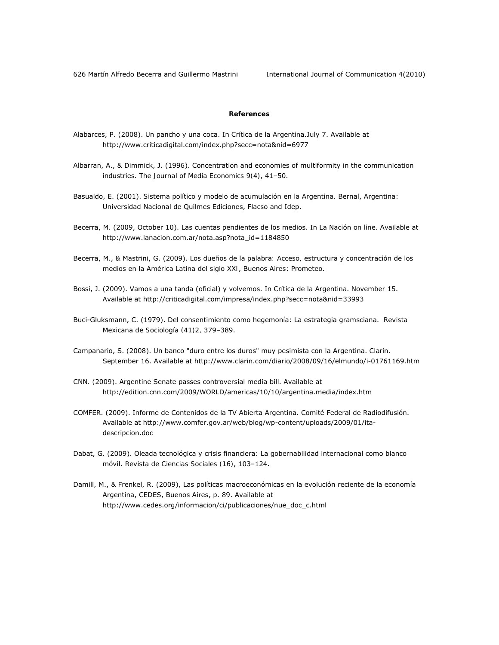626 Martín Alfredo Becerra and Guillermo Mastrini International Journal of Communication 4(2010)

### **References**

- Alabarces, P. (2008). Un pancho y una coca. In *Crítica de la Argentina*.July 7. Available at http://www.criticadigital.com/index.php?secc=nota&nid=6977
- Albarran, A., & Dimmick, J. (1996). Concentration and economies of multiformity in the communication industries. *The Journal of Media Economics 9(4)*, 41–50.
- Basualdo, E. (2001). *Sistema político y modelo de acumulación en la Argentina.* Bernal, Argentina: Universidad Nacional de Quilmes Ediciones, Flacso and Idep.
- Becerra, M. (2009, October 10). Las cuentas pendientes de los medios. In *La Nación on line*. Available at http://www.lanacion.com.ar/nota.asp?nota\_id=1184850
- Becerra, M., & Mastrini, G. (2009). *Los dueños de la palabra: Acceso, estructura y concentración de los medios en la América Latina del siglo XXI*, Buenos Aires: Prometeo.
- Bossi, J. (2009). Vamos a una tanda (oficial) y volvemos. In *Crítica de la Argentina*. November 15. Available at http://criticadigital.com/impresa/index.php?secc=nota&nid=33993
- Buci-Gluksmann, C. (1979). Del consentimiento como hegemonía: La estrategia gramsciana. *Revista Mexicana de Sociología (41)2,* 379–389.
- Campanario, S. (2008). Un banco "duro entre los duros" muy pesimista con la Argentina. *Clarín.* September 16. Available at http://www.clarin.com/diario/2008/09/16/elmundo/i-01761169.htm
- CNN. (2009). Argentine Senate passes controversial media bill. Available at http://edition.cnn.com/2009/WORLD/americas/10/10/argentina.media/index.htm
- COMFER. (2009). Informe de Contenidos de la TV Abierta Argentina. Comité Federal de Radiodifusión. Available at http://www.comfer.gov.ar/web/blog/wp-content/uploads/2009/01/itadescripcion.doc
- Dabat, G. (2009). Oleada tecnológica y crisis financiera: La gobernabilidad internacional como blanco móvil. *Revista de Ciencias Sociales (16)*, 103–124.
- Damill, M., & Frenkel, R. (2009), Las políticas macroeconómicas en la evolución reciente de la economía Argentina, CEDES, Buenos Aires, p. 89. Available at http://www.cedes.org/informacion/ci/publicaciones/nue\_doc\_c.html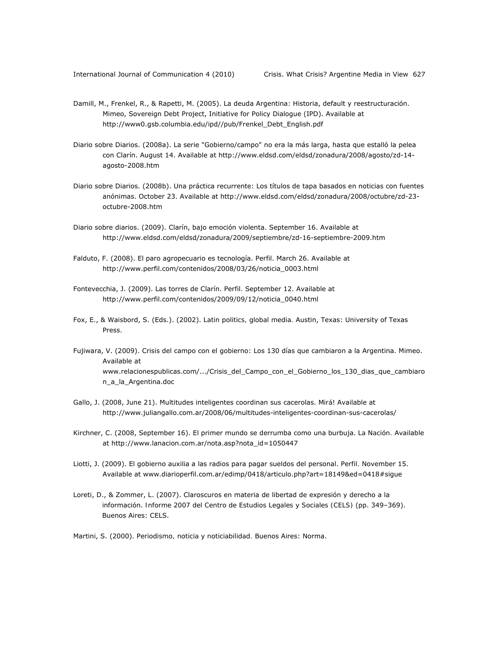- Damill, M., Frenkel, R., & Rapetti, M. (2005). La deuda Argentina: Historia, default y reestructuración. Mimeo, Sovereign Debt Project, Initiative for Policy Dialogue (IPD). Available at http://www0.gsb.columbia.edu/ipd//pub/Frenkel\_Debt\_English.pdf
- Diario sobre Diarios. (2008a). La serie "Gobierno/campo" no era la más larga, hasta que estalló la pelea con Clarín. August 14. Available at http://www.eldsd.com/eldsd/zonadura/2008/agosto/zd-14 agosto-2008.htm
- Diario sobre Diarios. (2008b). Una práctica recurrente: Los títulos de tapa basados en noticias con fuentes anónimas. October 23. Available at http://www.eldsd.com/eldsd/zonadura/2008/octubre/zd-23 octubre-2008.htm
- Diario sobre diarios. (2009). Clarín, bajo emoción violenta. September 16. Available at http://www.eldsd.com/eldsd/zonadura/2009/septiembre/zd-16-septiembre-2009.htm
- Falduto, F. (2008). El paro agropecuario es tecnología. *Perfil*. March 26. Available at http://www.perfil.com/contenidos/2008/03/26/noticia\_0003.html
- Fontevecchia, J. (2009). Las torres de Clarín. *Perfil.* September 12. Available at http://www.perfil.com/contenidos/2009/09/12/noticia\_0040.html
- Fox, E., & Waisbord, S. (Eds.). (2002). *Latin politics, global media.* Austin, Texas: University of Texas Press.
- Fujiwara, V. (2009). Crisis del campo con el gobierno: Los 130 días que cambiaron a la Argentina. Mimeo. Available at www.relacionespublicas.com/.../Crisis\_del\_Campo\_con\_el\_Gobierno\_los\_130\_dias\_que\_cambiaro n\_a\_la\_Argentina.doc
- Gallo, J. (2008, June 21). Multitudes inteligentes coordinan sus cacerolas. *Mirá!* Available at http://www.juliangallo.com.ar/2008/06/multitudes-inteligentes-coordinan-sus-cacerolas/
- Kirchner, C. (2008, September 16). El primer mundo se derrumba como una burbuja. *La Nación.* Available at http://www.lanacion.com.ar/nota.asp?nota\_id=1050447
- Liotti, J. (2009). El gobierno auxilia a las radios para pagar sueldos del personal. *Perfil.* November 15. Available at www.diarioperfil.com.ar/edimp/0418/articulo.php?art=18149&ed=0418#sigue
- Loreti, D., & Zommer, L. (2007). Claroscuros en materia de libertad de expresión y derecho a la información. *Informe 2007 del Centro de Estudios Legales y Sociales (CELS)* (pp. 349–369). Buenos Aires: CELS.
- Martini, S. (2000). *Periodismo, noticia y noticiabilidad.* Buenos Aires: Norma.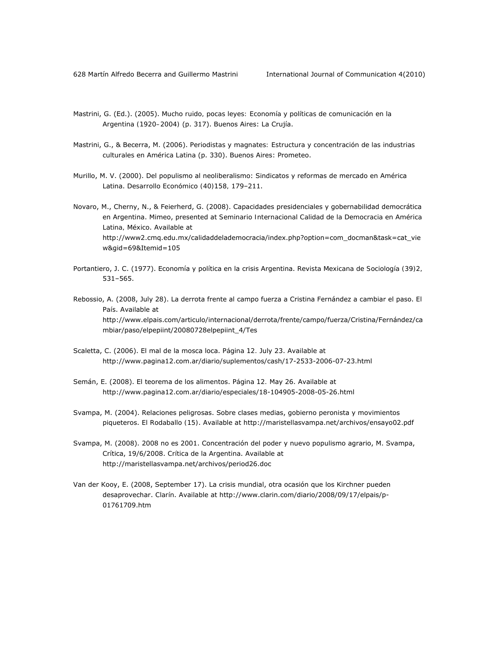- Mastrini, G. (Ed.). (2005). *Mucho ruido, pocas leyes: Economía y políticas de comunicación en la Argentina (1920–2004)* (p. 317). Buenos Aires: La Crujía.
- Mastrini, G., & Becerra, M. (2006). *Periodistas y magnates: Estructura y concentración de las industrias culturales en América Latina* (p. 330). Buenos Aires: Prometeo.
- Murillo, M. V. (2000). Del populismo al neoliberalismo: Sindicatos y reformas de mercado en América Latina. *Desarrollo Económico (40)158,* 179–211.
- Novaro, M., Cherny, N., & Feierherd, G. (2008). Capacidades presidenciales y gobernabilidad democrática en Argentina. Mimeo, presented at *Seminario Internacional Calidad de la Democracia en América Latina, México*. Available at http://www2.cmq.edu.mx/calidaddelademocracia/index.php?option=com\_docman&task=cat\_vie w&gid=69&Itemid=105
- Portantiero, J. C. (1977). Economía y política en la crisis Argentina. *Revista Mexicana de Sociología (39)2,* 531–565.
- Rebossio, A. (2008, July 28). La derrota frente al campo fuerza a Cristina Fernández a cambiar el paso. *El País*. Available at http://www.elpais.com/articulo/internacional/derrota/frente/campo/fuerza/Cristina/Fernández/ca mbiar/paso/elpepiint/20080728elpepiint\_4/Tes
- Scaletta, C. (2006). El mal de la mosca loca. *Página 12.* July 23. Available at http://www.pagina12.com.ar/diario/suplementos/cash/17-2533-2006-07-23.html
- Semán, E. (2008). El teorema de los alimentos. *Página 12.* May 26. Available at http://www.pagina12.com.ar/diario/especiales/18-104905-2008-05-26.html
- Svampa, M. (2004). Relaciones peligrosas. Sobre clases medias, gobierno peronista y movimientos piqueteros. *El Rodaballo (15)*. Available at http://maristellasvampa.net/archivos/ensayo02.pdf
- Svampa, M. (2008). 2008 no es 2001. Concentración del poder y nuevo populismo agrario, M. Svampa, Crítica, 19/6/2008. *Crítica de la Argentina*. Available at http://maristellasvampa.net/archivos/period26.doc
- Van der Kooy, E. (2008, September 17). La crisis mundial, otra ocasión que los Kirchner pueden desaprovechar. *Clarín*. Available at http://www.clarin.com/diario/2008/09/17/elpais/p-01761709.htm